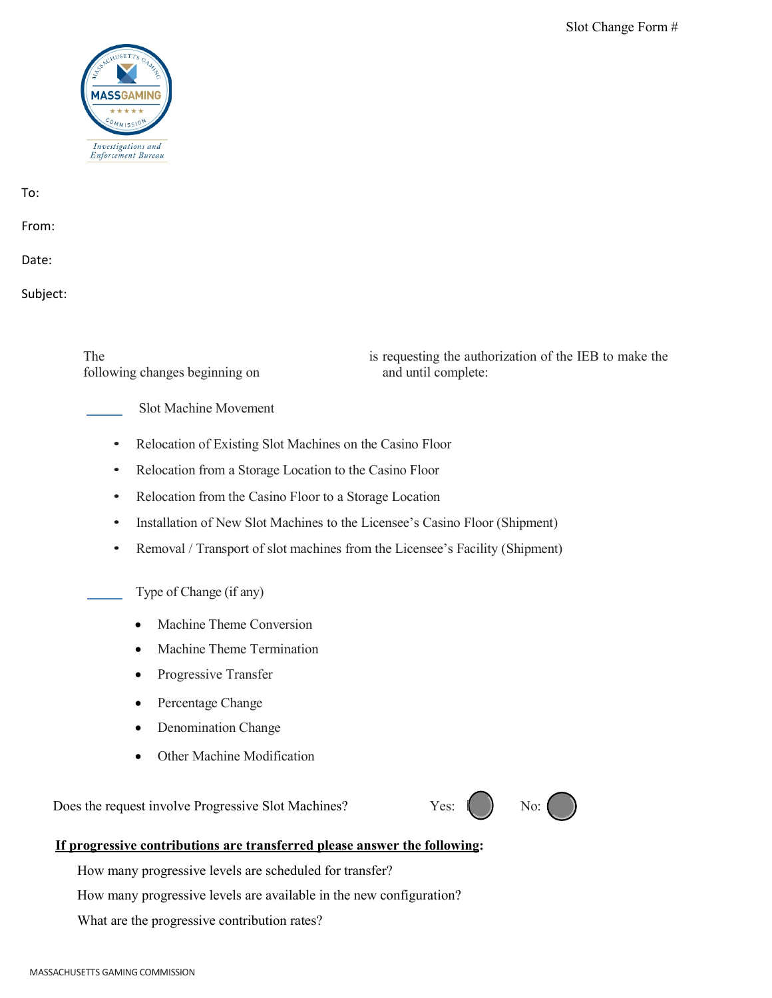

To:

From:

Date:

Subject:

following changes beginning on and until complete:

The is requesting the authorization of the IEB to make the

Slot Machine Movement

- Relocation of Existing Slot Machines on the Casino Floor
- Relocation from a Storage Location to the Casino Floor
- Relocation from the Casino Floor to a Storage Location
- Installation of New Slot Machines to the Licensee's Casino Floor (Shipment)
- Removal / Transport of slot machines from the Licensee's Facility (Shipment)

Type of Change (if any)

- Machine Theme Conversion
- Machine Theme Termination
- Progressive Transfer
- Percentage Change
- Denomination Change
- Other Machine Modification

Does the request involve Progressive Slot Machines? Yes:  $\begin{pmatrix} \cdot & \cdot & \cdot \\ \cdot & \cdot & \cdot \\ \cdot & \cdot & \cdot \end{pmatrix}$  No:



## **If progressive contributions are transferred please answer the following:**

How many progressive levels are scheduled for transfer?

How many progressive levels are available in the new configuration?

What are the progressive contribution rates?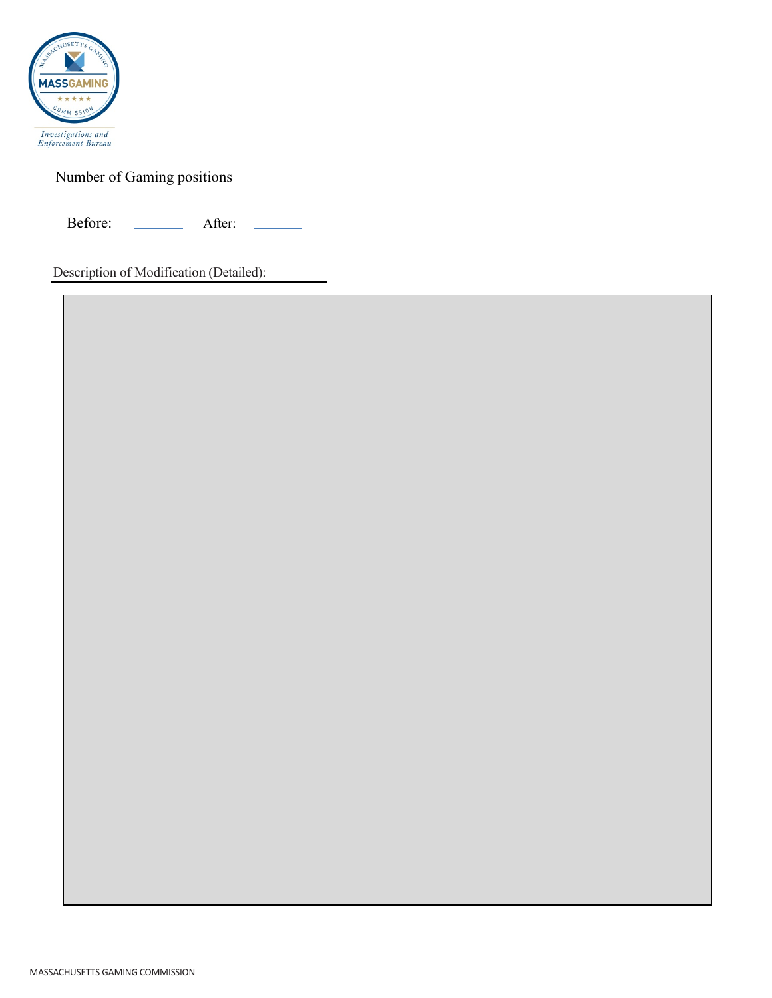

Number of Gaming positions

Before: <u>New After:</u>

Description of Modification (Detailed):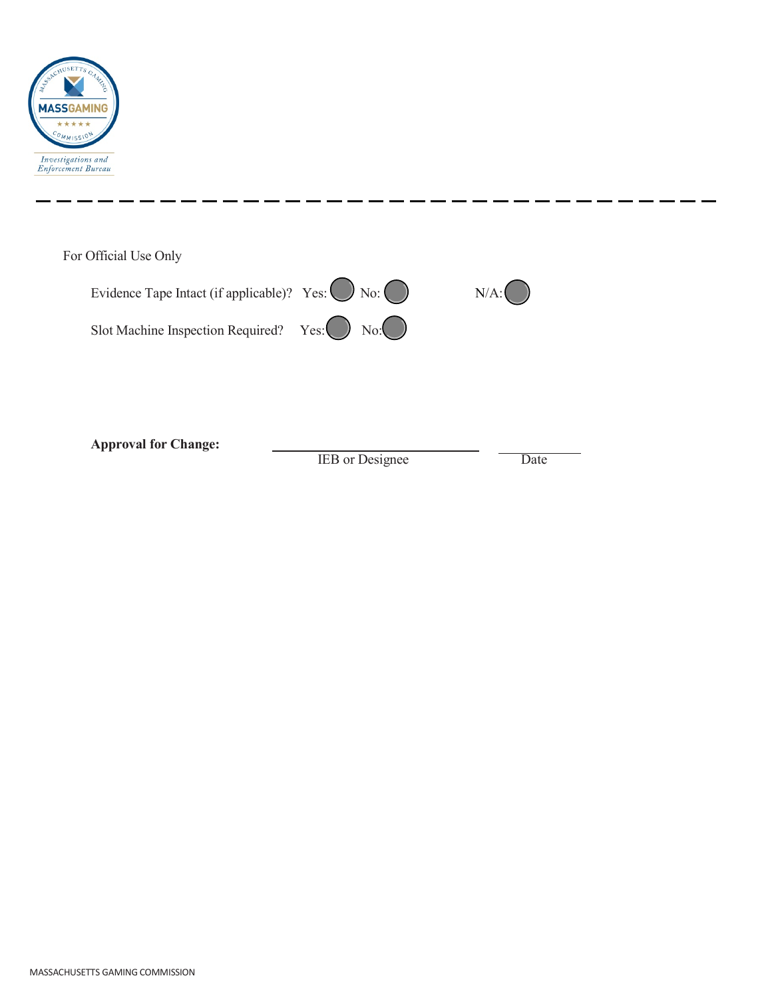

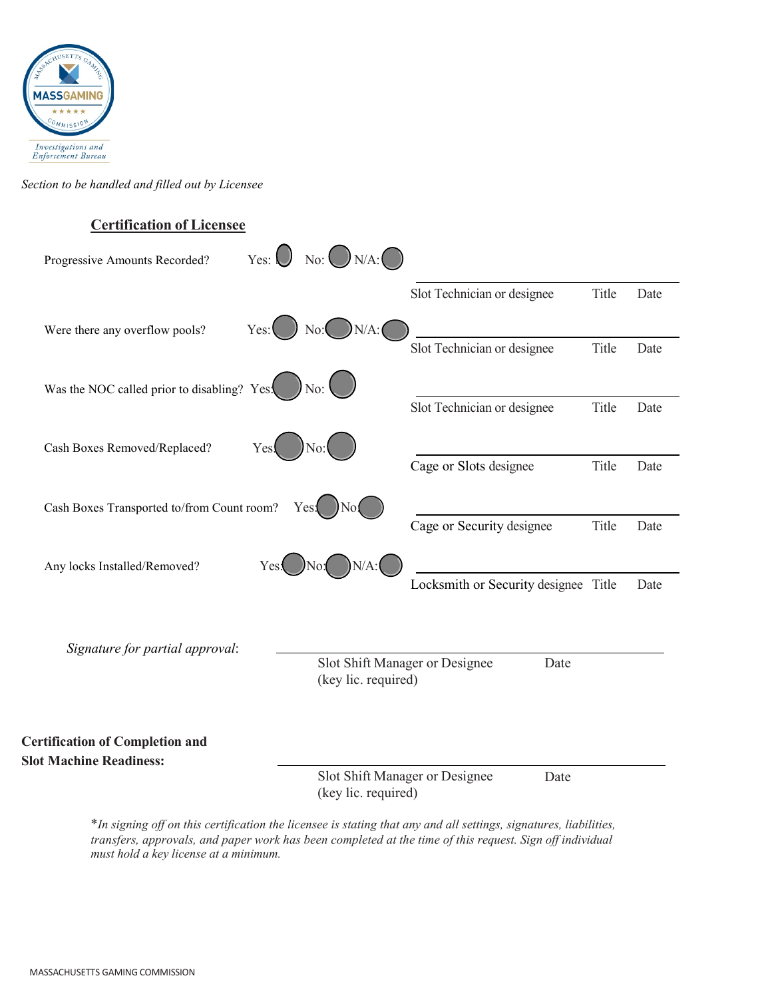

*Section to be handled and filled out by Licensee*

## **Certification of Licensee** Progressive Amounts Recorded? Yes:  $\bigcup$  No:  $\bigcap$  N/A:  $\bigcap$ Slot Technician or designee Title Date Were there any overflow pools?  $Yes: \bigcup No: \bigcup N/A$ : Slot Technician or designee Title Date Was the NOC called prior to disabling? Yes:  $\bigcirc$  No: Slot Technician or designee Title Date Cash Boxes Removed/Replaced? Cage or Slots designee Title Date Cash Boxes Transported to/from Count room? Cage or Security designee Title Date Any locks Installed/Removed?  $Yes.$  No:  $[N/A:$ Locksmith or Security designee Title Date *Signature for partial approval*: Slot Shift Manager or Designee (key lic. required) Date **Certification of Completion and Slot Machine Readiness:** Slot Shift Manager or Designee (key lic. required) Date

\**In signing off on this certification the licensee is stating that any and all settings, signatures, liabilities, transfers, approvals, and paper work has been completed at the time of this request. Sign off individual must hold a key license at a minimum.*